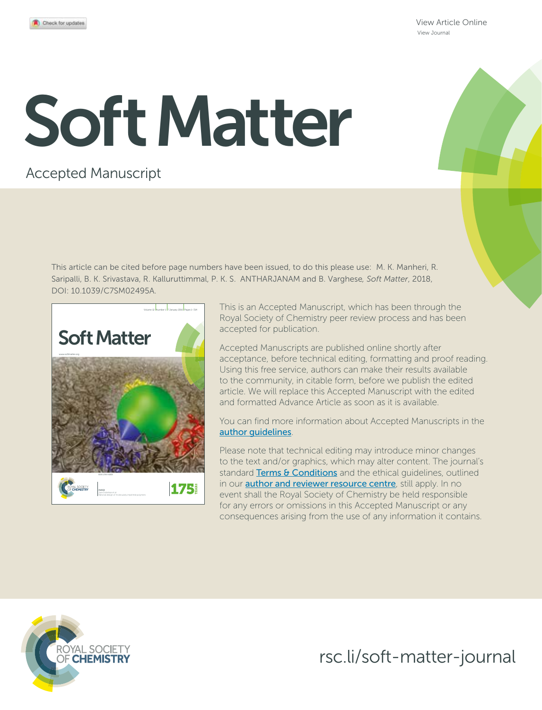View Article Online View Journal

# Soft Matter

# Accepted Manuscript

This article can be cited before page numbers have been issued, to do this please use: M. K. Manheri, R. Saripalli, B. K. Srivastava, R. Kalluruttimmal, P. K. S. ANTHARJANAM and B. Varghese*, Soft Matter*, 2018, DOI: 10.1039/C7SM02495A.



This is an Accepted Manuscript, which has been through the Royal Society of Chemistry peer review process and has been accepted for publication.

Accepted Manuscripts are published online shortly after acceptance, before technical editing, formatting and proof reading. Using this free service, authors can make their results available to the community, in citable form, before we publish the edited article. We will replace this Accepted Manuscript with the edited and formatted Advance Article as soon as it is available.

You can find more information about Accepted Manuscripts in the author guidelines.

Please note that technical editing may introduce minor changes to the text and/or graphics, which may alter content. The journal's standard Terms & Conditions and the ethical quidelines, outlined in our **author and reviewer resource centre**, still apply. In no event shall the Royal Society of Chemistry be held responsible for any errors or omissions in this Accepted Manuscript or any consequences arising from the use of any information it contains.



rsc.li/soft-matter-journal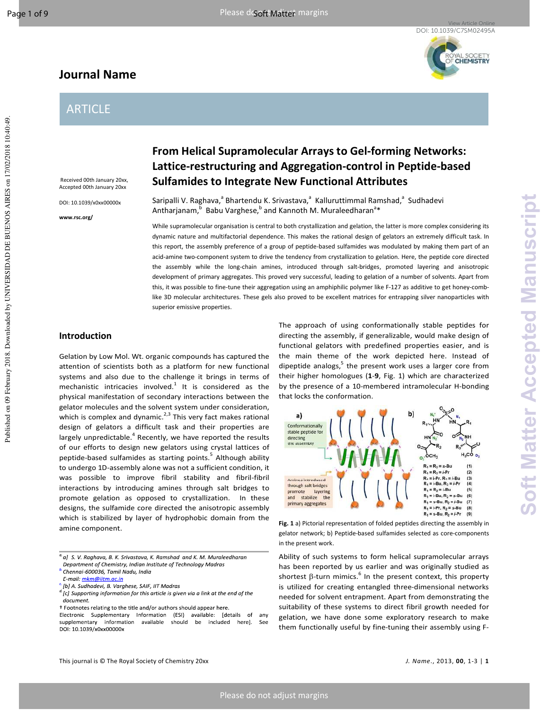Published on 09 February 2018. Downloaded by UNIVERSIDAD DE BUENOS AIRES on 17/02/2018 10:40:49.

Published on 09 February 2018. Downloaded by UNIVERSIDAD DE BUENOS AIRES on 17/02/2018 10:40:49

# **Journal Name**



## ARTICLE

 Received 00th January 20xx, Accepted 00th January 20xx

DOI: 10.1039/x0xx00000x

**www.rsc.org/** 

# **From Helical Supramolecular Arrays to Gel-forming Networks: Lattice-restructuring and Aggregation-control in Peptide-based Sulfamides to Integrate New Functional Attributes**

Saripalli V. Raghava,<sup>a</sup> Bhartendu K. Srivastava,<sup>a</sup> Kalluruttimmal Ramshad,<sup>a</sup> Sudhadevi Antharjanam,  $\overline{5}$  Babu Varghese,  $\overline{5}$  and Kannoth M. Muraleedharan<sup>a</sup>\*

While supramolecular organisation is central to both crystallization and gelation, the latter is more complex considering its dynamic nature and multifactorial dependence. This makes the rational design of gelators an extremely difficult task. In this report, the assembly preference of a group of peptide-based sulfamides was modulated by making them part of an acid-amine two-component system to drive the tendency from crystallization to gelation. Here, the peptide core directed the assembly while the long-chain amines, introduced through salt-bridges, promoted layering and anisotropic development of primary aggregates. This proved very successful, leading to gelation of a number of solvents. Apart from this, it was possible to fine-tune their aggregation using an amphiphilic polymer like F-127 as additive to get honey-comblike 3D molecular architectures. These gels also proved to be excellent matrices for entrapping silver nanoparticles with superior emissive properties.

## **Introduction**

Gelation by Low Mol. Wt. organic compounds has captured the attention of scientists both as a platform for new functional systems and also due to the challenge it brings in terms of mechanistic intricacies involved.<sup>1</sup> It is considered as the physical manifestation of secondary interactions between the gelator molecules and the solvent system under consideration, which is complex and dynamic. $2,3$  This very fact makes rational design of gelators a difficult task and their properties are largely unpredictable.<sup>4</sup> Recently, we have reported the results of our efforts to design new gelators using crystal lattices of peptide-based sulfamides as starting points.<sup>5</sup> Although ability to undergo 1D-assembly alone was not a sufficient condition, it was possible to improve fibril stability and fibril-fibril interactions by introducing amines through salt bridges to promote gelation as opposed to crystallization. In these designs, the sulfamide core directed the anisotropic assembly which is stabilized by layer of hydrophobic domain from the amine component.

The approach of using conformationally stable peptides for directing the assembly, if generalizable, would make design of functional gelators with predefined properties easier, and is the main theme of the work depicted here. Instead of dipeptide analogs,  $5$  the present work uses a larger core from their higher homologues (**1**-**9**, Fig. 1) which are characterized by the presence of a 10-membered intramolecular H-bonding that locks the conformation.



**Fig. 1** a) Pictorial representation of folded peptides directing the assembly in gelator network; b) Peptide-based sulfamides selected as core-components in the present work.

Ability of such systems to form helical supramolecular arrays has been reported by us earlier and was originally studied as shortest  $\beta$ -turn mimics. $^6$  In the present context, this property is utilized for creating entangled three-dimensional networks needed for solvent entrapment. Apart from demonstrating the suitability of these systems to direct fibril growth needed for gelation, we have done some exploratory research to make them functionally useful by fine-tuning their assembly using F-

<sup>&</sup>lt;sup>a</sup>a] S. V. Raghava, B. K. Srivastava, K. Ramshad and K. M. Muraleedharan Department of Chemistry, Indian Institute of Technology Madras

<sup>&</sup>lt;sup>b.</sup> Chennai-600036, Tamil Nadu, India

E-mail: mkm@iitm.ac.in

<sup>.&</sup>lt;br>[b] A. Sudhadevi, B. Varghese, SAIF, IIT Madras

<sup>&</sup>lt;sup>d.</sup> [c] Supporting information for this article is given via a link at the end of the document.

<sup>†</sup> Footnotes relating to the title and/or authors should appear here.

Electronic Supplementary Information (ESI) available: [details of any supplementary information available should be included here]. See DOI: 10.1039/x0xx00000x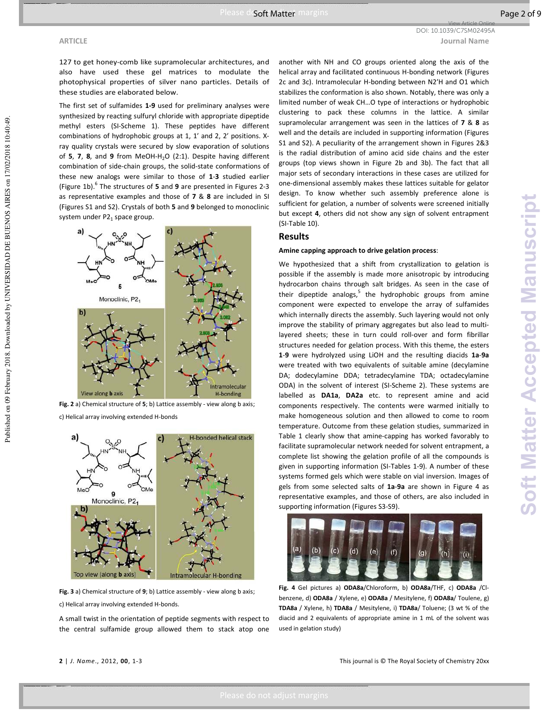Published on 09 February 2018. Downloaded by UNIVERSIDAD DE BUENOS AIRES on 17/02/2018 10:40:49.

Published on 09 February 2018. Downloaded by UNIVERSIDAD DE BUENOS AIRES on 17/02/2018 10:40:49

**ARTICLE Journal Name** DOI: 10.1039/C7SM02495A

View Article Online

127 to get honey-comb like supramolecular architectures, and also have used these gel matrices to modulate the photophysical properties of silver nano particles. Details of these studies are elaborated below.

The first set of sulfamides **1-9** used for preliminary analyses were synthesized by reacting sulfuryl chloride with appropriate dipeptide methyl esters (SI-Scheme 1). These peptides have different combinations of hydrophobic groups at 1, 1′ and 2, 2′ positions. Xray quality crystals were secured by slow evaporation of solutions of **5**, **7**, **8**, and **9** from MeOH-H<sub>2</sub>O (2:1). Despite having different combination of side-chain groups, the solid-state conformations of these new analogs were similar to those of **1**-**3** studied earlier (Figure 1b).<sup>6</sup> The structures of 5 and 9 are presented in Figures 2-3 as representative examples and those of **7** & **8** are included in SI (Figures S1 and S2). Crystals of both **5** and **9** belonged to monoclinic system under  $P2<sub>1</sub>$  space group.



**Fig. 2** a) Chemical structure of **5**; b) Lattice assembly - view along b axis;

c) Helical array involving extended H-bonds



**Fig. 3** a) Chemical structure of **9**; b) Lattice assembly - view along b axis; c) Helical array involving extended H-bonds.

A small twist in the orientation of peptide segments with respect to the central sulfamide group allowed them to stack atop one

another with NH and CO groups oriented along the axis of the helical array and facilitated continuous H-bonding network (Figures 2c and 3c). Intramolecular H-bonding between N2′H and O1 which stabilizes the conformation is also shown. Notably, there was only a limited number of weak CH…O type of interactions or hydrophobic clustering to pack these columns in the lattice. A similar supramolecular arrangement was seen in the lattices of **7** & **8** as well and the details are included in supporting information (Figures S1 and S2). A peculiarity of the arrangement shown in Figures 2&3 is the radial distribution of amino acid side chains and the ester groups (top views shown in Figure 2b and 3b). The fact that all major sets of secondary interactions in these cases are utilized for one-dimensional assembly makes these lattices suitable for gelator design. To know whether such assembly preference alone is sufficient for gelation, a number of solvents were screened initially but except **4**, others did not show any sign of solvent entrapment (SI-Table 10).

## **Results**

## **Amine capping approach to drive gelation process**:

We hypothesized that a shift from crystallization to gelation is possible if the assembly is made more anisotropic by introducing hydrocarbon chains through salt bridges. As seen in the case of their dipeptide analogs, $5$  the hydrophobic groups from amine component were expected to envelope the array of sulfamides which internally directs the assembly. Such layering would not only improve the stability of primary aggregates but also lead to multilayered sheets; these in turn could roll-over and form fibrillar structures needed for gelation process. With this theme, the esters **1**-**9** were hydrolyzed using LiOH and the resulting diacids **1a**-**9a** were treated with two equivalents of suitable amine (decylamine DA; dodecylamine DDA; tetradecylamine TDA; octadecylamine ODA) in the solvent of interest (SI-Scheme 2). These systems are labelled as **DA1a**, **DA2a** etc. to represent amine and acid components respectively. The contents were warmed initially to make homogeneous solution and then allowed to come to room temperature. Outcome from these gelation studies, summarized in Table 1 clearly show that amine-capping has worked favorably to facilitate supramolecular network needed for solvent entrapment, a complete list showing the gelation profile of all the compounds is given in supporting information (SI-Tables 1-9). A number of these systems formed gels which were stable on vial inversion. Images of gels from some selected salts of **1a**-**9a** are shown in Figure 4 as representative examples, and those of others, are also included in supporting information (Figures S3-S9).



**Fig. 4** Gel pictures a) **ODA8a**/Chloroform, b) **ODA8a**/THF, c) **ODA8a** /Clbenzene, d) **ODA8a** / Xylene, e) **ODA8a** / Mesitylene, f) **ODA8a**/ Toulene, g) **TDA8a** / Xylene, h) **TDA8a** / Mesitylene, i) **TDA8a**/ Toluene; (3 wt % of the diacid and 2 equivalents of appropriate amine in 1 mL of the solvent was used in gelation study)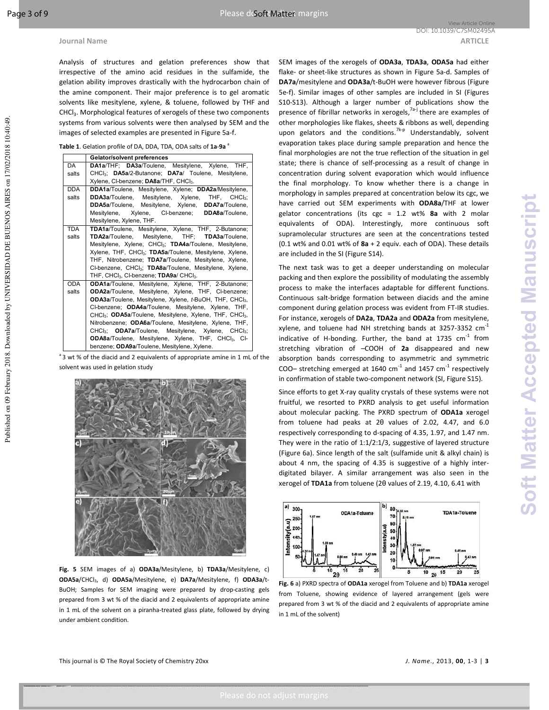Analysis of structures and gelation preferences show that irrespective of the amino acid residues in the sulfamide, the gelation ability improves drastically with the hydrocarbon chain of the amine component. Their major preference is to gel aromatic solvents like mesitylene, xylene, & toluene, followed by THF and CHCl<sub>3</sub>. Morphological features of xerogels of these two components systems from various solvents were then analysed by SEM and the images of selected examples are presented in Figure 5a-f.

**Table 1**. Gelation profile of DA, DDA, TDA, ODA salts of **1a**-**9a** <sup>a</sup>

|            | Gelator/solvent preferences                                                        |
|------------|------------------------------------------------------------------------------------|
| DA         | DA1a/THF; DA3a/Toulene, Mesitylene, Xylene, THF,                                   |
| salts      | CHCl <sub>3</sub> ; DA5a/2-Butanone; DA7a/ Toulene, Mesitylene,                    |
|            | Xylene, Cl-benzene; DA8a/THF, CHCl <sub>3</sub> .                                  |
| <b>DDA</b> | DDA1a/Toulene, Mesitylene, Xylene; DDA2a/Mesitylene,                               |
| salts      | <b>DDA3a/Toulene, Mesitylene, Xylene, THF, CHCl<sub>3</sub>;</b>                   |
|            | DDA5a/Toulene, Mesitylene, Xylene, DDA7a/Toulene,                                  |
|            | Mesitylene, Xylene, CI-benzene; DDA8a/Toulene,                                     |
|            | Mesitylene, Xylene, THF.                                                           |
| <b>TDA</b> | TDA1a/Toulene, Mesitylene, Xylene, THF, 2-Butanone;                                |
| salts      | TDA2a/Toulene, Mesitylene, THF; TDA3a/Toulene,                                     |
|            | Mesitylene, Xylene, CHCl <sub>3</sub> ; TDA4a/Toulene, Mesitylene,                 |
|            | Xylene, THF, CHCl <sub>3</sub> ; TDA5a/Toulene, Mesitylene, Xylene,                |
|            | THF, Nitrobenzene; TDA7a/Toulene, Mesitylene, Xylene,                              |
|            | CI-benzene, CHCI <sub>3</sub> ; TDA8a/Toulene, Mesitylene, Xylene,                 |
|            | THF, CHCl <sub>3</sub> , Cl-benzene; TDA9a/ CHCl <sub>3</sub> .                    |
| <b>ODA</b> | ODA1a/Toulene, Mesitylene, Xylene, THF, 2-Butanone;                                |
| salts      | ODA2a/Toulene, Mesitylene, Xylene, THF, Cl-benzene;                                |
|            | ODA3a/Toulene, Mesitylene, Xylene, t-BuOH, THF, CHCl <sub>3</sub> ,                |
|            | CI-benzene; ODA4a/Toulene, Mesitylene, Xylene, THF,                                |
|            | CHCl <sub>3</sub> ; ODA5a/Toulene, Mesitylene, Xylene, THF, CHCl <sub>3</sub> ,    |
|            | Nitrobenzene; ODA6a/Toulene, Mesitylene, Xylene, THF,                              |
|            | CHCl <sub>3</sub> ; <b>ODA7a</b> /Toulene, Mesitylene, Xylene, CHCl <sub>3</sub> ; |
|            | ODA8a/Toulene, Mesitylene, Xylene, THF, CHCl <sub>3</sub> , CI-                    |
|            | benzene; ODA9a/Toulene, Mesitylene, Xylene.                                        |

<sup>a</sup> 3 wt % of the diacid and 2 equivalents of appropriate amine in 1 mL of the solvent was used in gelation study



**Fig. 5** SEM images of a) **ODA3a**/Mesitylene, b) **TDA3a**/Mesitylene, c) **ODA5a**/CHCl3, d) **ODA5a**/Mesitylene, e) **DA7a**/Mesitylene, f) **ODA3a**/t-BuOH; Samples for SEM imaging were prepared by drop-casting gels prepared from 3 wt % of the diacid and 2 equivalents of appropriate amine in 1 mL of the solvent on a piranha-treated glass plate, followed by drying under ambient condition.

SEM images of the xerogels of **ODA3a**, **TDA3a**, **ODA5a** had either flake- or sheet-like structures as shown in Figure 5a-d. Samples of **DA7a**/mesitylene and **ODA3a**/t-BuOH were however fibrous (Figure 5e-f). Similar images of other samples are included in SI (Figures S10-S13). Although a larger number of publications show the presence of fibrillar networks in xerogels,<sup>7a-j</sup> there are examples of other morphologies like flakes, sheets & ribbons as well, depending upon gelators and the conditions.<sup>7k-p</sup> Understandably, solvent evaporation takes place during sample preparation and hence the final morphologies are not the true reflection of the situation in gel state; there is chance of self-processing as a result of change in concentration during solvent evaporation which would influence the final morphology. To know whether there is a change in morphology in samples prepared at concentration below its cgc, we have carried out SEM experiments with **ODA8a**/THF at lower gelator concentrations (its cgc = 1.2 wt% **8a** with 2 molar equivalents of ODA). Interestingly, more continuous soft supramolecular structures are seen at the concentrations tested (0.1 wt% and 0.01 wt% of **8a** + 2 equiv. each of ODA). These details are included in the SI (Figure S14).

The next task was to get a deeper understanding on molecular packing and then explore the possibility of modulating the assembly process to make the interfaces adaptable for different functions. Continuous salt-bridge formation between diacids and the amine component during gelation process was evident from FT-IR studies. For instance, xerogels of **DA2a**, **TDA2a** and **ODA2a** from mesitylene, xylene, and toluene had NH stretching bands at 3257-3352  $cm^{-1}$ indicative of H-bonding. Further, the band at 1735  $cm^{-1}$  from stretching vibration of –COOH of **2a** disappeared and new absorption bands corresponding to asymmetric and symmetric COO– stretching emerged at 1640  $\text{cm}^{-1}$  and 1457  $\text{cm}^{-1}$  respectively in confirmation of stable two-component network (SI, Figure S15).

Since efforts to get X-ray quality crystals of these systems were not fruitful, we resorted to PXRD analysis to get useful information about molecular packing. The PXRD spectrum of **ODA1a** xerogel from toluene had peaks at 2θ values of 2.02, 4.47, and 6.0 respectively corresponding to d-spacing of 4.35, 1.97, and 1.47 nm. They were in the ratio of 1:1/2:1/3, suggestive of layered structure (Figure 6a). Since length of the salt (sulfamide unit & alkyl chain) is about 4 nm, the spacing of 4.35 is suggestive of a highly interdigitated bilayer. A similar arrangement was also seen in the xerogel of **TDA1a** from toluene (2θ values of 2.19, 4.10, 6.41 with



**Fig. 6** a) PXRD spectra of **ODA1a** xerogel from Toluene and b) **TDA1a** xerogel from Toluene, showing evidence of layered arrangement (gels were prepared from 3 wt % of the diacid and 2 equivalents of appropriate amine in 1 mL of the solvent)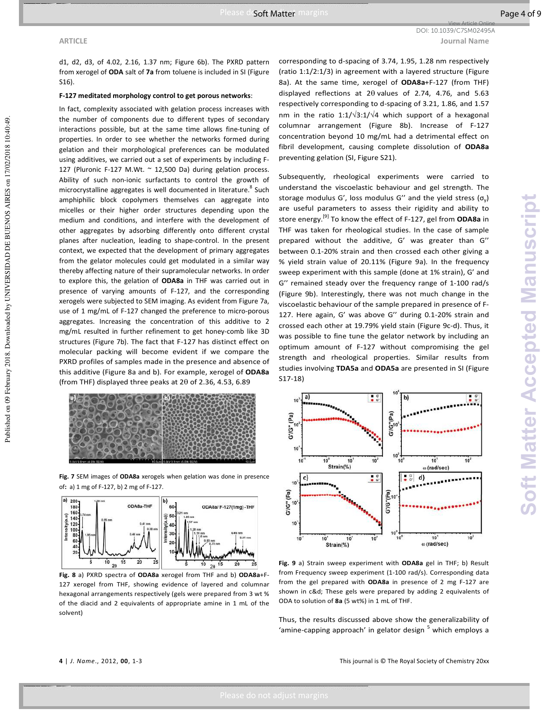## **ARTICLE Journal Name** View Article Online DOI: 10.1039/C7SM02495A

Published on 09 February 2018. Downloaded by UNIVERSIDAD DE BUENOS AIRES on 17/02/2018 10:40:49.

Published on 09 February 2018. Downloaded by UNIVERSIDAD DE BUENOS AIRES on 17/02/2018 10:40:49

d1, d2, d3, of 4.02, 2.16, 1.37 nm; Figure 6b). The PXRD pattern from xerogel of **ODA** salt of **7a** from toluene is included in SI (Figure S16).

### **F-127 meditated morphology control to get porous networks**:

In fact, complexity associated with gelation process increases with the number of components due to different types of secondary interactions possible, but at the same time allows fine-tuning of properties. In order to see whether the networks formed during gelation and their morphological preferences can be modulated using additives, we carried out a set of experiments by including F-127 (Pluronic F-127 M.Wt.  $\sim$  12,500 Da) during gelation process. Ability of such non-ionic surfactants to control the growth of microcrystalline aggregates is well documented in literature.<sup>8</sup> Such amphiphilic block copolymers themselves can aggregate into micelles or their higher order structures depending upon the medium and conditions, and interfere with the development of other aggregates by adsorbing differently onto different crystal planes after nucleation, leading to shape-control. In the present context, we expected that the development of primary aggregates from the gelator molecules could get modulated in a similar way thereby affecting nature of their supramolecular networks. In order to explore this, the gelation of **ODA8a** in THF was carried out in presence of varying amounts of F-127, and the corresponding xerogels were subjected to SEM imaging. As evident from Figure 7a, use of 1 mg/mL of F-127 changed the preference to micro-porous aggregates. Increasing the concentration of this additive to 2 mg/mL resulted in further refinement to get honey-comb like 3D structures (Figure 7b). The fact that F-127 has distinct effect on molecular packing will become evident if we compare the PXRD profiles of samples made in the presence and absence of this additive (Figure 8a and b). For example, xerogel of **ODA8a** (from THF) displayed three peaks at  $2\theta$  of 2.36, 4.53, 6.89



**Fig. 7** SEM images of **ODA8a** xerogels when gelation was done in presence of**:** a) 1 mg of F-127, b) 2 mg of F-127.



**Fig. 8** a) PXRD spectra of **ODA8a** xerogel from THF and b) **ODA8a**+F-127 xerogel from THF, showing evidence of layered and columnar hexagonal arrangements respectively (gels were prepared from 3 wt % of the diacid and 2 equivalents of appropriate amine in 1 mL of the solvent)

corresponding to d-spacing of 3.74, 1.95, 1.28 nm respectively (ratio 1:1/2:1/3) in agreement with a layered structure (Figure 8a). At the same time, xerogel of **ODA8a**+F-127 (from THF) displayed reflections at 2θ values of 2.74, 4.76, and 5.63 respectively corresponding to d-spacing of 3.21, 1.86, and 1.57 nm in the ratio 1:1/ $\sqrt{3}$ :1/ $\sqrt{4}$  which support of a hexagonal columnar arrangement (Figure 8b). Increase of F-127 concentration beyond 10 mg/mL had a detrimental effect on fibril development, causing complete dissolution of **ODA8a** preventing gelation (SI, Figure S21).

Subsequently, rheological experiments were carried to understand the viscoelastic behaviour and gel strength. The storage modulus G', loss modulus G'' and the yield stress  $(\sigma_y)$ are useful parameters to assess their rigidity and ability to store energy.[9] To know the effect of F-127, gel from **ODA8a** in THF was taken for rheological studies. In the case of sample prepared without the additive, G' was greater than G'' between 0.1-20% strain and then crossed each other giving a % yield strain value of 20.11% (Figure 9a). In the frequency sweep experiment with this sample (done at 1% strain), G' and G'' remained steady over the frequency range of 1-100 rad/s (Figure 9b). Interestingly, there was not much change in the viscoelastic behaviour of the sample prepared in presence of F-127. Here again, G' was above G'' during 0.1-20% strain and crossed each other at 19.79% yield stain (Figure 9c-d). Thus, it was possible to fine tune the gelator network by including an optimum amount of F-127 without compromising the gel strength and rheological properties. Similar results from studies involving **TDA5a** and **ODA5a** are presented in SI (Figure S17-18)



**Fig. 9** a) Strain sweep experiment with **ODA8a** gel in THF; b) Result from Frequency sweep experiment (1-100 rad/s). Corresponding data from the gel prepared with **ODA8a** in presence of 2 mg F-127 are shown in c&d; These gels were prepared by adding 2 equivalents of ODA to solution of **8a** (5 wt%) in 1 mL of THF.

Thus, the results discussed above show the generalizability of 'amine-capping approach' in gelator design <sup>5</sup> which employs a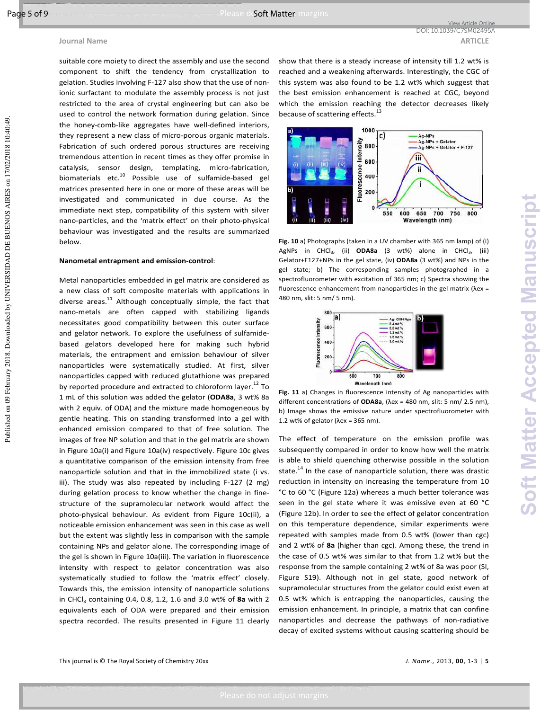## **Journal Name ARTICLE ARTICLE**

suitable core moiety to direct the assembly and use the second component to shift the tendency from crystallization to gelation. Studies involving F-127 also show that the use of nonionic surfactant to modulate the assembly process is not just restricted to the area of crystal engineering but can also be used to control the network formation during gelation. Since the honey-comb-like aggregates have well-defined interiors, they represent a new class of micro-porous organic materials. Fabrication of such ordered porous structures are receiving tremendous attention in recent times as they offer promise in catalysis, sensor design, templating, micro-fabrication, biomaterials etc.<sup>10</sup> Possible use of sulfamide-based gel matrices presented here in one or more of these areas will be investigated and communicated in due course. As the immediate next step, compatibility of this system with silver nano-particles, and the 'matrix effect' on their photo-physical behaviour was investigated and the results are summarized below.

## **Nanometal entrapment and emission-control**:

Metal nanoparticles embedded in gel matrix are considered as a new class of soft composite materials with applications in diverse areas. $^{11}$  Although conceptually simple, the fact that nano-metals are often capped with stabilizing ligands necessitates good compatibility between this outer surface and gelator network. To explore the usefulness of sulfamidebased gelators developed here for making such hybrid materials, the entrapment and emission behaviour of silver nanoparticles were systematically studied. At first, silver nanoparticles capped with reduced glutathione was prepared by reported procedure and extracted to chloroform layer.<sup>12</sup> To 1 mL of this solution was added the gelator (**ODA8a**, 3 wt% 8a with 2 equiv. of ODA) and the mixture made homogeneous by gentle heating. This on standing transformed into a gel with enhanced emission compared to that of free solution. The images of free NP solution and that in the gel matrix are shown in Figure 10a(i) and Figure 10a(iv) respectively. Figure 10c gives a quantitative comparison of the emission intensity from free nanoparticle solution and that in the immobilized state (i vs. iii). The study was also repeated by including F-127 (2 mg) during gelation process to know whether the change in finestructure of the supramolecular network would affect the photo-physical behaviour. As evident from Figure 10c(ii), a noticeable emission enhancement was seen in this case as well but the extent was slightly less in comparison with the sample containing NPs and gelator alone. The corresponding image of the gel is shown in Figure 10a(iii). The variation in fluorescence intensity with respect to gelator concentration was also systematically studied to follow the 'matrix effect' closely. Towards this, the emission intensity of nanoparticle solutions in CHCl<sub>3</sub> containing 0.4, 0.8, 1.2, 1.6 and 3.0 wt% of 8a with 2 equivalents each of ODA were prepared and their emission spectra recorded. The results presented in Figure 11 clearly

show that there is a steady increase of intensity till 1.2 wt% is reached and a weakening afterwards. Interestingly, the CGC of this system was also found to be 1.2 wt% which suggest that the best emission enhancement is reached at CGC, beyond which the emission reaching the detector decreases likely because of scattering effects.<sup>13</sup>

View Article Online DOI: 10.1039/C7SM02495A



**Fig. 10** a) Photographs (taken in a UV chamber with 365 nm lamp) of (i) AgNPs in CHCl3, (ii) **ODA8a** (3 wt%) alone in CHCl3, (iii) Gelator+F127+NPs in the gel state, (iv) **ODA8a** (3 wt%) and NPs in the gel state; b) The corresponding samples photographed in a spectrofluorometer with excitation of 365 nm; c) Spectra showing the fluorescence enhancement from nanoparticles in the gel matrix (λex = 480 nm, slit: 5 nm/ 5 nm).



**Fig. 11** a) Changes in fluorescence intensity of Ag nanoparticles with different concentrations of **ODA8a**, (λex = 480 nm, slit: 5 nm/ 2.5 nm), b) Image shows the emissive nature under spectrofluorometer with 1.2 wt% of gelator ( $\lambda$ ex = 365 nm).

The effect of temperature on the emission profile was subsequently compared in order to know how well the matrix is able to shield quenching otherwise possible in the solution state.<sup>14</sup> In the case of nanoparticle solution, there was drastic reduction in intensity on increasing the temperature from 10 °C to 60 °C (Figure 12a) whereas a much better tolerance was seen in the gel state where it was emissive even at 60 °C (Figure 12b). In order to see the effect of gelator concentration on this temperature dependence, similar experiments were repeated with samples made from 0.5 wt% (lower than cgc) and 2 wt% of **8a** (higher than cgc). Among these, the trend in the case of 0.5 wt% was similar to that from 1.2 wt% but the response from the sample containing 2 wt% of 8a was poor (SI, Figure S19). Although not in gel state, good network of supramolecular structures from the gelator could exist even at 0.5 wt% which is entrapping the nanoparticles, causing the emission enhancement. In principle, a matrix that can confine nanoparticles and decrease the pathways of non-radiative decay of excited systems without causing scattering should be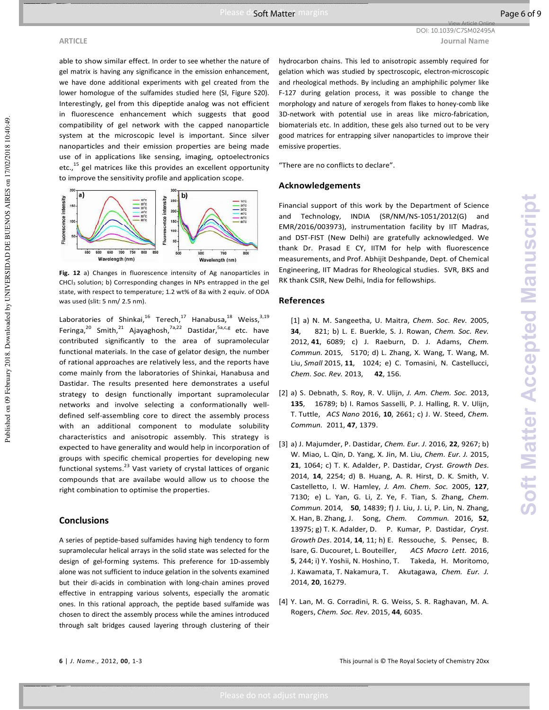**ARTICLE Journal Name** View Article Online DOI: 10.1039/C7SM02495A

able to show similar effect. In order to see whether the nature of gel matrix is having any significance in the emission enhancement, we have done additional experiments with gel created from the lower homologue of the sulfamides studied here (SI, Figure S20). Interestingly, gel from this dipeptide analog was not efficient in fluorescence enhancement which suggests that good compatibility of gel network with the capped nanoparticle system at the microscopic level is important. Since silver nanoparticles and their emission properties are being made use of in applications like sensing, imaging, optoelectronics etc.,<sup>15</sup> gel matrices like this provides an excellent opportunity to improve the sensitivity profile and application scope.



**Fig. 12** a) Changes in fluorescence intensity of Ag nanoparticles in CHCl3 solution; b) Corresponding changes in NPs entrapped in the gel state, with respect to temperature; 1.2 wt% of 8a with 2 equiv. of ODA was used (slit: 5 nm/ 2.5 nm).

Laboratories of Shinkai,<sup>16</sup> Terech,<sup>17</sup> Hanabusa,<sup>18</sup> Weiss,<sup>3,19</sup> Feringa,<sup>20</sup> Smith,<sup>21</sup> Ajayaghosh,<sup>7a,22</sup> Dastidar,<sup>5a,c,g</sup> etc. have contributed significantly to the area of supramolecular functional materials. In the case of gelator design, the number of rational approaches are relatively less, and the reports have come mainly from the laboratories of Shinkai, Hanabusa and Dastidar. The results presented here demonstrates a useful strategy to design functionally important supramolecular networks and involve selecting a conformationally welldefined self-assembling core to direct the assembly process with an additional component to modulate solubility characteristics and anisotropic assembly. This strategy is expected to have generality and would help in incorporation of groups with specific chemical properties for developing new functional systems.<sup>23</sup> Vast variety of crystal lattices of organic compounds that are availabe would allow us to choose the right combination to optimise the properties.

## **Conclusions**

A series of peptide-based sulfamides having high tendency to form supramolecular helical arrays in the solid state was selected for the design of gel-forming systems. This preference for 1D-assembly alone was not sufficient to induce gelation in the solvents examined but their di-acids in combination with long-chain amines proved effective in entrapping various solvents, especially the aromatic ones. In this rational approach, the peptide based sulfamide was chosen to direct the assembly process while the amines introduced through salt bridges caused layering through clustering of their

hydrocarbon chains. This led to anisotropic assembly required for gelation which was studied by spectroscopic, electron-microscopic and rheological methods. By including an amphiphilic polymer like F-127 during gelation process, it was possible to change the morphology and nature of xerogels from flakes to honey-comb like 3D-network with potential use in areas like micro-fabrication, biomaterials etc. In addition, these gels also turned out to be very good matrices for entrapping silver nanoparticles to improve their emissive properties.

"There are no conflicts to declare".

## **Acknowledgements**

Financial support of this work by the Department of Science and Technology, INDIA (SR/NM/NS-1051/2012(G) and EMR/2016/003973), instrumentation facility by IIT Madras, and DST-FIST (New Delhi) are gratefully acknowledged. We thank Dr. Prasad E CY, IITM for help with fluorescence measurements, and Prof. Abhijit Deshpande, Dept. of Chemical Engineering, IIT Madras for Rheological studies. SVR, BKS and RK thank CSIR, New Delhi, India for fellowships.

## **References**

[1] a) N. M. Sangeetha, U. Maitra, *Chem. Soc. Rev.* 2005, **34**, 821; b) L. E. Buerkle, S. J. Rowan, *Chem. Soc. Rev.*  2012, **41**, 6089; c) J. Raeburn, D. J. Adams, *Chem. Commun.* 2015, 5170; d) L. Zhang, X. Wang, T. Wang, M. Liu, *Small* 2015, **11**, 1024; e) C. Tomasini, N. Castellucci, *Chem. Soc. Rev.* 2013, **42**, 156.

- [2] a) S. Debnath, S. Roy, R. V. Ulijn, *J. Am. Chem. Soc.* 2013, **135**, 16789; b) I. Ramos Sasselli, P. J. Halling, R. V. Ulijn, T. Tuttle, *ACS Nano* 2016, **10**, 2661; c) J. W. Steed, *Chem. Commun.* 2011, **47**, 1379.
- [3] a) J. Majumder, P. Dastidar, *Chem. Eur. J*. 2016, **22**, 9267; b) W. Miao, L. Qin, D. Yang, X. Jin, M. Liu, *Chem. Eur. J.* 2015, **21**, 1064; c) T. K. Adalder, P. Dastidar, *Cryst. Growth Des*. 2014, **14**, 2254; d) B. Huang, A. R. Hirst, D. K. Smith, V. Castelletto, I. W. Hamley, *J. Am. Chem. Soc.* 2005, **127**, 7130; e) L. Yan, G. Li, Z. Ye, F. Tian, S. Zhang, *Chem. Commun.* 2014, **50**, 14839; f) J. Liu, J. Li, P. Lin, N. Zhang, X. Han, B. Zhang, J. Song, *Chem. Commun.* 2016, **52**, 13975; g) T. K. Adalder, D. P. Kumar, P. Dastidar, *Cryst. Growth Des*. 2014, **14**, 11; h) E. Ressouche, S. Pensec, B. Isare, G. Ducouret, L. Bouteiller, *ACS Macro Lett.* 2016, **5**, 244; i) Y. Yoshii, N. Hoshino, T. Takeda, H. Moritomo, J. Kawamata, T. Nakamura, T. Akutagawa, *Chem. Eur. J.*  2014, **20**, 16279.
- [4] Y. Lan, M. G. Corradini, R. G. Weiss, S. R. Raghavan, M. A. Rogers, *Chem. Soc. Rev.* 2015, **44**, 6035.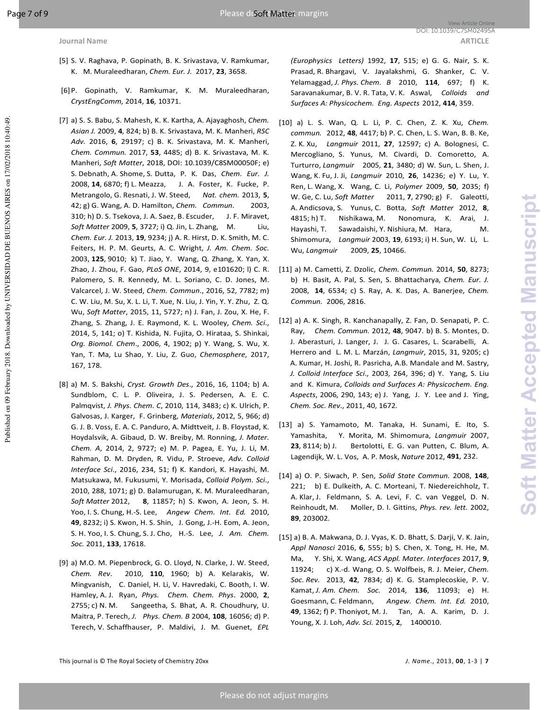- [5] S. V. Raghava, P. Gopinath, B. K. Srivastava, V. Ramkumar, K. M. Muraleedharan, *Chem. Eur. J.* 2017, **23**, 3658.
- [6] P. Gopinath, V. Ramkumar, K. M. Muraleedharan, *CrystEngComm,* 2014, **16**, 10371.
- [7] a) S. S. Babu, S. Mahesh, K. K. Kartha, A. Ajayaghosh, *Chem. Asian J.* 2009, **4**, 824; b) B. K. Srivastava, M. K. Manheri, *RSC Adv.* 2016, **6**, 29197; c) B. K. Srivastava, M. K. Manheri, *Chem. Commun.* 2017, **53**, 4485; d) B. K. Srivastava, M. K. Manheri, *Soft Matter*, 2018, DOI: 10.1039/C8SM00050F; e) S. Debnath, A. Shome, S. Dutta, P. K. Das, *Chem. Eur. J.*  2008, **14**, 6870; f) L. Meazza, J. A. Foster, K. Fucke, P. Metrangolo, G. Resnati, J. W. Steed, *Nat. chem.* 2013, **5**, 42; g) G. Wang, A. D. Hamilton, *Chem. Commun.* 2003, 310; h) D. S. Tsekova, J. A. Saez, B. Escuder, J. F. Miravet, *Soft Matter* 2009, **5**, 3727; i) Q. Jin, L. Zhang, M. Liu, *Chem. Eur. J.* 2013, **19**, 9234; j) A. R. Hirst, D. K. Smith, M. C. Feiters, H. P. M. Geurts, A. C. Wright, *J. Am. Chem. Soc.*  2003, **125**, 9010; k) T. Jiao, Y. Wang, Q. Zhang, X. Yan, X. Zhao, J. Zhou, F. Gao, *PLoS ONE*, 2014, 9, e101620; l) C. R. Palomero, S. R. Kennedy, M. L. Soriano, C. D. Jones, M. Valcarcel, J. W. Steed, *Chem. Commun*., 2016, 52, 7782; m) C. W. Liu, M. Su, X. L. Li, T. Xue, N. Liu, J. Yin, Y. Y. Zhu, Z. Q. Wu, *Soft Matter*, 2015, 11, 5727; n) J. Fan, J. Zou, X. He, F. Zhang, S. Zhang, J. E. Raymond, K. L. Wooley, *Chem. Sci*., 2014, 5, 141; o) T. Kishida, N. Fujita, O. Hirataa, S. Shinkai, *Org. Biomol. Chem*., 2006, 4, 1902; p) Y. Wang, S. Wu, X. Yan, T. Ma, Lu Shao, Y. Liu, Z. Guo, *Chemosphere*, 2017, 167, 178.
- [8] a) M. S. Bakshi, *Cryst. Growth Des*., 2016, 16, 1104; b) A. Sundblom, C. L. P. Oliveira, J. S. Pedersen, A. E. C. Palmqvist, *J. Phys. Chem. C*, 2010, 114, 3483; c) K. Ulrich, P. Galvosas, J. Karger, F. Grinberg, *Materials*, 2012, 5, 966; d) G. J. B. Voss, E. A. C. Panduro, A. Midttveit, J. B. Floystad, K. Hoydalsvik, A. Gibaud, D. W. Breiby, M. Ronning, *J. Mater. Chem. A*, 2014, 2, 9727; e) M. P. Pagea, E. Yu, J. Li, M. Rahman, D. M. Dryden, R. Vidu, P. Stroeve, *Adv. Colloid Interface Sci*., 2016, 234, 51; f) K. Kandori, K. Hayashi, M. Matsukawa, M. Fukusumi, Y. Morisada, *Colloid Polym. Sci*., 2010, 288, 1071; g) D. Balamurugan, K. M. Muraleedharan, *Soft Matter* 2012, **8**, 11857; h) S. Kwon, A. Jeon, S. H. Yoo, I. S. Chung, H.-S. Lee, *Angew Chem. Int. Ed.* 2010, **49**, 8232; i) S. Kwon, H. S. Shin, J. Gong, J.-H. Eom, A. Jeon, S. H. Yoo, I. S. Chung, S. J. Cho, H.-S. Lee, *J. Am. Chem. Soc.* 2011, **133**, 17618.
- [9] a) M.O. M. Piepenbrock, G. O. Lloyd, N. Clarke, J. W. Steed, *Chem. Rev*. 2010, **110**, 1960; b) A. Kelarakis, W. Mingvanish, C. Daniel, H. Li, V. Havredaki, C. Booth, I. W. Hamley, A. J. Ryan, *Phys. Chem. Chem. Phys*. 2000, **2**, 2755; c) N. M. Sangeetha, S. Bhat, A. R. Choudhury, U. Maitra, P. Terech, *J. Phys. Chem. B* 2004, **108**, 16056; d) P. Terech, V. Schaffhauser, P. Maldivi, J. M. Guenet, *EPL*

*(Europhysics Letters)* 1992, **17**, 515; e) G. G. Nair, S. K. Prasad, R. Bhargavi, V. Jayalakshmi, G. Shanker, C. V. Yelamaggad, *J. Phys. Chem. B* 2010, **114**, 697; f) K. Saravanakumar, B. V. R. Tata, V. K. Aswal, *Colloids and Surfaces A: Physicochem. Eng. Aspects* 2012, **414**, 359.

- [10] a) L. S. Wan, Q. L. Li, P. C. Chen, Z. K. Xu, *Chem. commun.* 2012, **48**, 4417; b) P. C. Chen, L. S. Wan, B. B. Ke, Z. K. Xu, *Langmuir* 2011, **27**, 12597; c) A. Bolognesi, C. Mercogliano, S. Yunus, M. Civardi, D. Comoretto, A. Turturro, *Langmuir* 2005, **21**, 3480; d) W. Sun, L. Shen, J. Wang, K. Fu, J. Ji, *Langmuir* 2010, **26**, 14236; e) Y. Lu, Y. Ren, L. Wang, X. Wang, C. Li, *Polymer* 2009, **50**, 2035; f) W. Ge, C. Lu, *Soft Matter* 2011, **7**, 2790; g) F. Galeotti, A. Andicsova, S. Yunus, C. Botta, *Soft Matter* 2012, **8**, 4815; h) T. Nishikawa, M. Nonomura, K. Arai, J. Hayashi, T. Sawadaishi, Y. Nishiura, M. Hara, M. Shimomura, *Langmuir* 2003, **19**, 6193; i) H. Sun, W. Li, L. Wu, *Langmuir* 2009, **25**, 10466.
- [11] a) M. Cametti, Z. Dzolic, *Chem. Commun.* 2014, **50**, 8273; b) H. Basit, A. Pal, S. Sen, S. Bhattacharya, *Chem. Eur. J.*  2008, **14**, 6534; c) S. Ray, A. K. Das, A. Banerjee, *Chem. Commun.* 2006, 2816.
- [12] a) A. K. Singh, R. Kanchanapally, Z. Fan, D. Senapati, P. C. Ray, *Chem. Commun.* 2012, **48**, 9047. b) B. S. Montes, D. J. Aberasturi, J. Langer, J. J. G. Casares, L. Scarabelli, A. Herrero and L. M. L. Marzán, *Langmuir*, 2015, 31, 9205; c) A. Kumar, H. Joshi, R. Pasricha, A.B. Mandale and M. Sastry, *J. Colloid Interface Sci*., 2003, 264, 396; d) Y. Yang, S. Liu and K. Kimura, *Colloids and Surfaces A: Physicochem. Eng. Aspects*, 2006, 290, 143; e) J. Yang, J. Y. Lee and J. Ying, *Chem. Soc. Rev*., 2011, 40, 1672.
- [13] a) S. Yamamoto, M. Tanaka, H. Sunami, E. Ito, S. Yamashita, Y. Morita, M. Shimomura, *Langmuir* 2007, **23**, 8114; b) J. Bertolotti, E. G. van Putten, C. Blum, A. Lagendijk, W. L. Vos, A. P. Mosk, *Nature* 2012, **491**, 232.
- [14] a) O. P. Siwach, P. Sen, *Solid State Commun.* 2008, **148**, 221; b) E. Dulkeith, A. C. Morteani, T. Niedereichholz, T. A. Klar, J. Feldmann, S. A. Levi, F. C. van Veggel, D. N. Reinhoudt, M. Moller, D. I. Gittins, *Phys. rev. lett.* 2002, **89**, 203002.
- [15] a) B. A. Makwana, D. J. Vyas, K. D. Bhatt, S. Darji, V. K. Jain, *Appl Nanosci* 2016, **6**, 555; b) S. Chen, X. Tong, H. He, M. Ma, Y. Shi, X. Wang, *ACS Appl. Mater. Interfaces* 2017, **9**, 11924; c) X.-d. Wang, O. S. Wolfbeis, R. J. Meier, *Chem. Soc. Rev.* 2013, **42**, 7834; d) K. G. Stamplecoskie, P. V. Kamat, *J. Am. Chem. Soc.* 2014, **136**, 11093; e) H. Goesmann, C. Feldmann, *Angew. Chem. Int. Ed.* 2010, **49**, 1362; f) P. Thoniyot, M. J. Tan, A. A. Karim, D. J. Young, X. J. Loh, *Adv. Sci.* 2015, **2**, 1400010.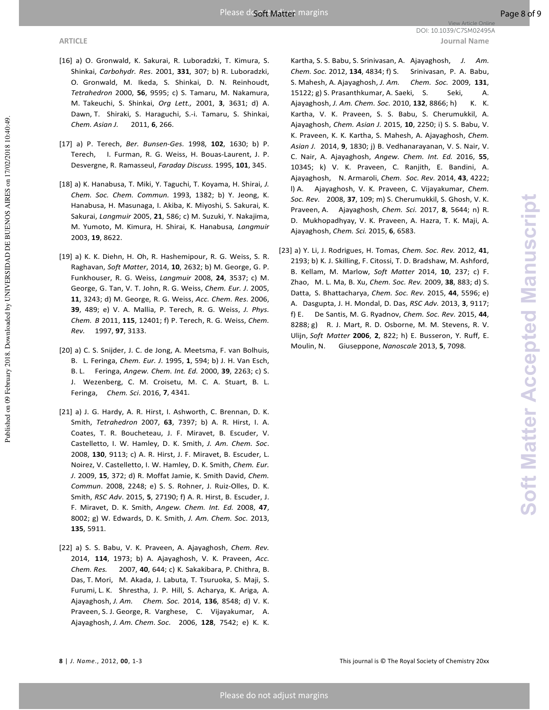- [16] a) O. Gronwald, K. Sakurai, R. Luboradzki, T. Kimura, S. Shinkai, *Carbohydr. Res*. 2001, **331**, 307; b) R. Luboradzki, O. Gronwald, M. Ikeda, S. Shinkai, D. N. Reinhoudt, *Tetrahedron* 2000, **56**, 9595; c) S. Tamaru, M. Nakamura, M. Takeuchi, S. Shinkai, *Org Lett.,* 2001, **3**, 3631; d) A. Dawn, T. Shiraki, S. Haraguchi, S.-i. Tamaru, S. Shinkai, *Chem. Asian J.* 2011, **6**, 266.
- [17] a) P. Terech, *Ber. Bunsen-Ges.* 1998, **102**, 1630; b) P. Terech, I. Furman, R. G. Weiss, H. Bouas-Laurent, J. P. Desvergne, R. Ramasseul, *Faraday Discuss.* 1995, **101**, 345.
- [18] a) K. Hanabusa, T. Miki, Y. Taguchi, T. Koyama, H. Shirai, *J. Chem. Soc. Chem. Commun.* 1993, 1382; b) Y. Jeong, K. Hanabusa, H. Masunaga, I. Akiba, K. Miyoshi, S. Sakurai, K. Sakurai, *Langmuir* 2005, **21**, 586; c) M. Suzuki, Y. Nakajima, M. Yumoto, M. Kimura, H. Shirai, K. Hanabusa*, Langmuir* 2003, **19**, 8622.
- [19] a) K. K. Diehn, H. Oh, R. Hashemipour, R. G. Weiss, S. R. Raghavan, *Soft Matter*, 2014, **10**, 2632; b) M. George, G. P. Funkhouser, R. G. Weiss, *Langmuir* 2008, **24**, 3537; c) M. George, G. Tan, V. T. John, R. G. Weiss, *Chem. Eur. J*. 2005, **11**, 3243; d) M. George, R. G. Weiss, *Acc. Chem. Res*. 2006, **39**, 489; e) V. A. Mallia, P. Terech, R. G. Weiss, *J. Phys. Chem. B* 2011, **115**, 12401; f) P. Terech, R. G. Weiss, *Chem. Rev.* 1997, **97**, 3133.
- [20] a) C. S. Snijder, J. C. de Jong, A. Meetsma, F. van Bolhuis, B. L. Feringa, *Chem. Eur. J*. 1995, **1**, 594; b) J. H. Van Esch, B. L. Feringa, *Angew. Chem. Int. Ed.* 2000, **39**, 2263; c) S. J. Wezenberg, C. M. Croisetu, M. C. A. Stuart, B. L. Feringa, *Chem. Sci*. 2016, **7**, 4341.
- [21] a) J. G. Hardy, A. R. Hirst, I. Ashworth, C. Brennan, D. K. Smith, *Tetrahedron* 2007, **63**, 7397; b) A. R. Hirst, I. A. Coates, T. R. Boucheteau, J. F. Miravet, B. Escuder, V. Castelletto, I. W. Hamley, D. K. Smith, *J. Am. Chem. Soc*. 2008, **130**, 9113; c) A. R. Hirst, J. F. Miravet, B. Escuder, L. Noirez, V. Castelletto, I. W. Hamley, D. K. Smith, *Chem. Eur. J*. 2009, **15**, 372; d) R. Moffat Jamie, K. Smith David, *Chem. Commun*. 2008, 2248; e) S. S. Rohner, J. Ruiz-Olles, D. K. Smith, *RSC Adv*. 2015, **5**, 27190; f) A. R. Hirst, B. Escuder, J. F. Miravet, D. K. Smith, *Angew. Chem. Int. Ed.* 2008, **47**, 8002; g) W. Edwards, D. K. Smith, *J. Am. Chem. Soc.* 2013, **135**, 5911.
- [22] a) S. S. Babu, V. K. Praveen, A. Ajayaghosh, *Chem. Rev.*  2014, **114**, 1973; b) A. Ajayaghosh, V. K. Praveen, *Acc. Chem. Res.* 2007, **40**, 644; c) K. Sakakibara, P. Chithra, B. Das, T. Mori, M. Akada, J. Labuta, T. Tsuruoka, S. Maji, S. Furumi, L. K. Shrestha, J. P. Hill, S. Acharya, K. Ariga, A. Ajayaghosh, *J. Am. Chem. Soc.* 2014, **136**, 8548; d) V. K. Praveen, S. J. George, R. Varghese, C. Vijayakumar, A. Ajayaghosh, *J. Am. Chem. Soc.* 2006, **128**, 7542; e) K. K.

 Kartha, S. S. Babu, S. Srinivasan, A. Ajayaghosh, *J. Am. Chem. Soc.* 2012, **134**, 4834; f) S. Srinivasan, P. A. Babu, S. Mahesh, A. Ajayaghosh, *J. Am. Chem. Soc.* 2009, **131**, 15122; g) S. Prasanthkumar, A. Saeki, S. Seki, A. Ajayaghosh, *J. Am. Chem. Soc.* 2010, 132, 8866; h) K. K. Kartha, V. K. Praveen, S. S. Babu, S. Cherumukkil, A. Ajayaghosh, *Chem. Asian J.* 2015, **10**, 2250; i) S. S. Babu, V. K. Praveen, K. K. Kartha, S. Mahesh, A. Ajayaghosh, *Chem. Asian J.* 2014, **9**, 1830; j) B. Vedhanarayanan, V. S. Nair, V. C. Nair, A. Ajayaghosh, *Angew. Chem. Int. Ed.* 2016, **55**, 10345; k) V. K. Praveen, C. Ranjith, E. Bandini, A. Ajayaghosh, N. Armaroli, *Chem. Soc. Rev.* 2014, **43**, 4222; l) A. Ajayaghosh, V. K. Praveen, C. Vijayakumar, *Chem. Soc. Rev.* 2008, **37**, 109; m) S. Cherumukkil, S. Ghosh, V. K. Praveen, A. Ajayaghosh, *Chem. Sci.* 2017, **8**, 5644; n) R. D. Mukhopadhyay, V. K. Praveen, A. Hazra, T. K. Maji, A. Ajayaghosh, *Chem. Sci.* 2015, **6**, 6583.

[23] a) Y. Li, J. Rodrigues, H. Tomas, *Chem. Soc. Rev.* 2012, **41**, 2193; b) K. J. Skilling, F. Citossi, T. D. Bradshaw, M. Ashford, B. Kellam, M. Marlow, *Soft Matter* 2014, **10**, 237; c) F. Zhao, M. L. Ma, B. Xu, *Chem. Soc. Rev.* 2009, **38**, 883; d) S. Datta, S. Bhattacharya, *Chem. Soc. Rev.* 2015, **44**, 5596; e) A. Dasgupta, J. H. Mondal, D. Das, *RSC Adv.* 2013, **3**, 9117; f) E. De Santis, M. G. Ryadnov, *Chem. Soc. Rev.* 2015, **44**, 8288; g) R. J. Mart, R. D. Osborne, M. M. Stevens, R. V. Ulijn, *Soft Matter* **2006**, **2**, 822; h) E. Busseron, Y. Ruff, E. Moulin, N. Giuseppone, *Nanoscale* 2013, **5**, 7098.